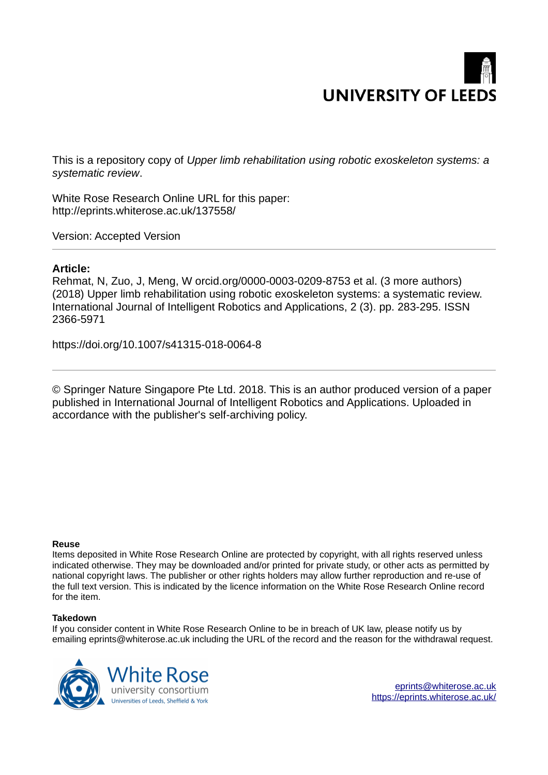# **UNIVERSITY OF LEEDS**

This is a repository copy of *Upper limb rehabilitation using robotic exoskeleton systems: a systematic review*.

White Rose Research Online URL for this paper: http://eprints.whiterose.ac.uk/137558/

Version: Accepted Version

# **Article:**

Rehmat, N, Zuo, J, Meng, W orcid.org/0000-0003-0209-8753 et al. (3 more authors) (2018) Upper limb rehabilitation using robotic exoskeleton systems: a systematic review. International Journal of Intelligent Robotics and Applications, 2 (3). pp. 283-295. ISSN 2366-5971

https://doi.org/10.1007/s41315-018-0064-8

© Springer Nature Singapore Pte Ltd. 2018. This is an author produced version of a paper published in International Journal of Intelligent Robotics and Applications. Uploaded in accordance with the publisher's self-archiving policy.

# **Reuse**

Items deposited in White Rose Research Online are protected by copyright, with all rights reserved unless indicated otherwise. They may be downloaded and/or printed for private study, or other acts as permitted by national copyright laws. The publisher or other rights holders may allow further reproduction and re-use of the full text version. This is indicated by the licence information on the White Rose Research Online record for the item.

# **Takedown**

If you consider content in White Rose Research Online to be in breach of UK law, please notify us by emailing eprints@whiterose.ac.uk including the URL of the record and the reason for the withdrawal request.



[eprints@whiterose.ac.uk](mailto:eprints@whiterose.ac.uk) <https://eprints.whiterose.ac.uk/>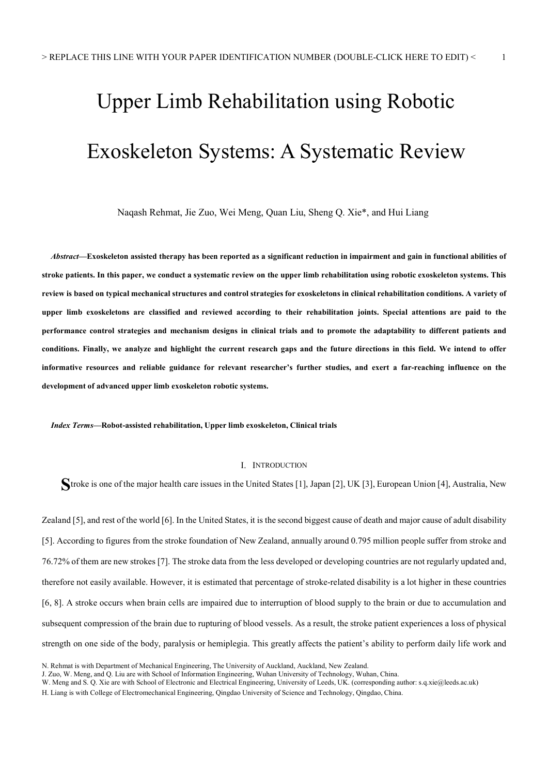# Upper Limb Rehabilitation using Robotic Exoskeleton Systems: A Systematic Review

Naqash Rehmat, Jie Zuo, Wei Meng, Quan Liu, Sheng Q. Xie\*, and Hui Liang

Abstract—Exoskeleton assisted therapy has been reported as a significant reduction in impairment and gain in functional abilities of stroke patients. In this paper, we conduct a systematic review on the upper limb rehabilitation using robotic exoskeleton systems. This review is based on typical mechanical structures and control strategies for exoskeletons in clinical rehabilitation conditions. A variety of upper limb exoskeletons are classified and reviewed according to their rehabilitation joints. Special attentions are paid to the performance control strategies and mechanism designs in clinical trials and to promote the adaptability to different patients and conditions. Finally, we analyze and highlight the current research gaps and the future directions in this field. We intend to offer informative resources and reliable guidance for relevant researcher's further studies, and exert a far-reaching influence on the development of advanced upper limb exoskeleton robotic systems.

Index Terms—Robot-assisted rehabilitation, Upper limb exoskeleton, Clinical trials

#### I. INTRODUCTION

Stroke is one of the major health care issues in the United States [1], Japan [2], UK [3], European Union [4], Australia, New

Zealand [5], and rest of the world [6]. In the United States, it is the second biggest cause of death and major cause of adult disability [5]. According to figures from the stroke foundation of New Zealand, annually around 0.795 million people suffer from stroke and 76.72% of them are new strokes [7]. The stroke data from the less developed or developing countries are not regularly updated and, therefore not easily available. However, it is estimated that percentage of stroke-related disability is a lot higher in these countries [6, 8]. A stroke occurs when brain cells are impaired due to interruption of blood supply to the brain or due to accumulation and subsequent compression of the brain due to rupturing of blood vessels. As a result, the stroke patient experiences a loss of physical strength on one side of the body, paralysis or hemiplegia. This greatly affects the patient's ability to perform daily life work and

N. Rehmat is with Department of Mechanical Engineering, The University of Auckland, Auckland, New Zealand.

J. Zuo, W. Meng, and Q. Liu are with School of Information Engineering, Wuhan University of Technology, Wuhan, China.

W. Meng and S. Q. Xie are with School of Electronic and Electrical Engineering, University of Leeds, UK. (corresponding author: s.q.xie@leeds.ac.uk)

H. Liang is with College of Electromechanical Engineering, Qingdao University of Science and Technology, Qingdao, China.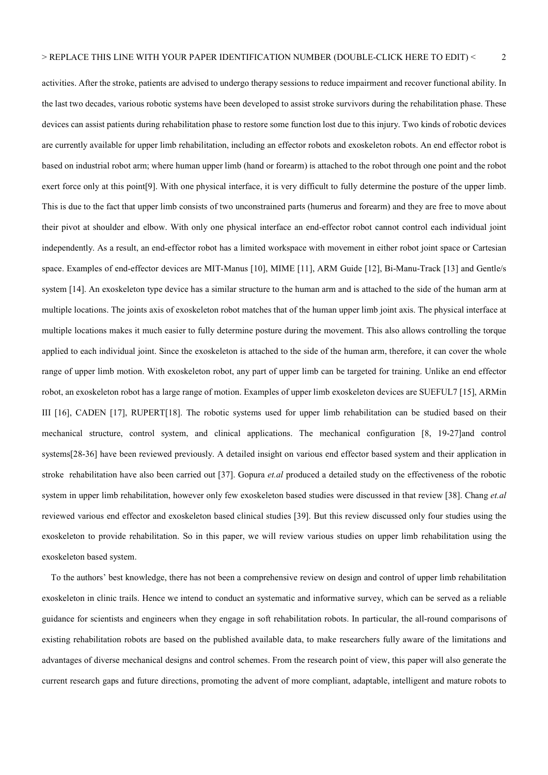activities. After the stroke, patients are advised to undergo therapy sessions to reduce impairment and recover functional ability. In the last two decades, various robotic systems have been developed to assist stroke survivors during the rehabilitation phase. These devices can assist patients during rehabilitation phase to restore some function lost due to this injury. Two kinds of robotic devices are currently available for upper limb rehabilitation, including an effector robots and exoskeleton robots. An end effector robot is based on industrial robot arm; where human upper limb (hand or forearm) is attached to the robot through one point and the robot exert force only at this point[9]. With one physical interface, it is very difficult to fully determine the posture of the upper limb. This is due to the fact that upper limb consists of two unconstrained parts (humerus and forearm) and they are free to move about their pivot at shoulder and elbow. With only one physical interface an end-effector robot cannot control each individual joint independently. As a result, an end-effector robot has a limited workspace with movement in either robot joint space or Cartesian space. Examples of end-effector devices are MIT-Manus [10], MIME [11], ARM Guide [12], Bi-Manu-Track [13] and Gentle/s system [14]. An exoskeleton type device has a similar structure to the human arm and is attached to the side of the human arm at multiple locations. The joints axis of exoskeleton robot matches that of the human upper limb joint axis. The physical interface at multiple locations makes it much easier to fully determine posture during the movement. This also allows controlling the torque applied to each individual joint. Since the exoskeleton is attached to the side of the human arm, therefore, it can cover the whole range of upper limb motion. With exoskeleton robot, any part of upper limb can be targeted for training. Unlike an end effector robot, an exoskeleton robot has a large range of motion. Examples of upper limb exoskeleton devices are SUEFUL7 [15], ARMin III [16], CADEN [17], RUPERT[18]. The robotic systems used for upper limb rehabilitation can be studied based on their mechanical structure, control system, and clinical applications. The mechanical configuration [8, 19-27]and control systems[28-36] have been reviewed previously. A detailed insight on various end effector based system and their application in stroke rehabilitation have also been carried out [37]. Gopura *et.al* produced a detailed study on the effectiveness of the robotic system in upper limb rehabilitation, however only few exoskeleton based studies were discussed in that review [38]. Chang et.al reviewed various end effector and exoskeleton based clinical studies [39]. But this review discussed only four studies using the exoskeleton to provide rehabilitation. So in this paper, we will review various studies on upper limb rehabilitation using the exoskeleton based system.

To the authors' best knowledge, there has not been a comprehensive review on design and control of upper limb rehabilitation exoskeleton in clinic trails. Hence we intend to conduct an systematic and informative survey, which can be served as a reliable guidance for scientists and engineers when they engage in soft rehabilitation robots. In particular, the all-round comparisons of existing rehabilitation robots are based on the published available data, to make researchers fully aware of the limitations and advantages of diverse mechanical designs and control schemes. From the research point of view, this paper will also generate the current research gaps and future directions, promoting the advent of more compliant, adaptable, intelligent and mature robots to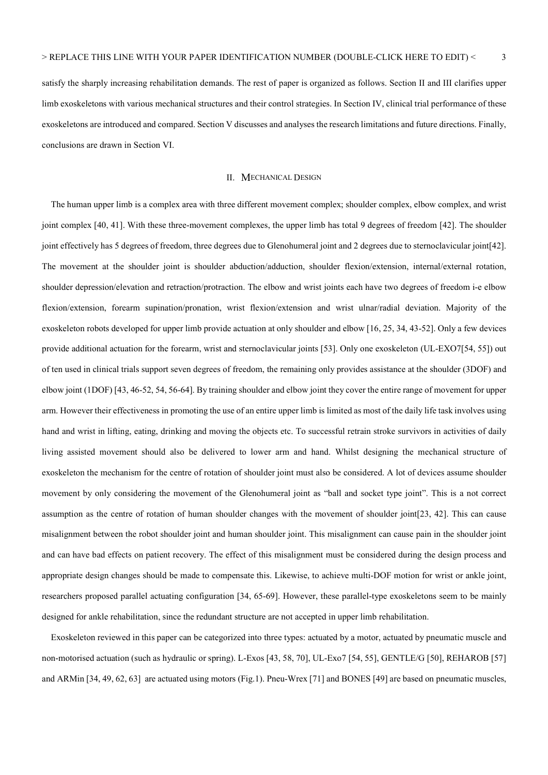satisfy the sharply increasing rehabilitation demands. The rest of paper is organized as follows. Section II and III clarifies upper limb exoskeletons with various mechanical structures and their control strategies. In Section IV, clinical trial performance of these exoskeletons are introduced and compared. Section V discusses and analyses the research limitations and future directions. Finally, conclusions are drawn in Section VI.

#### II. MECHANICAL DESIGN

The human upper limb is a complex area with three different movement complex; shoulder complex, elbow complex, and wrist joint complex [40, 41]. With these three-movement complexes, the upper limb has total 9 degrees of freedom [42]. The shoulder joint effectively has 5 degrees of freedom, three degrees due to Glenohumeral joint and 2 degrees due to sternoclavicular joint[42]. The movement at the shoulder joint is shoulder abduction/adduction, shoulder flexion/extension, internal/external rotation, shoulder depression/elevation and retraction/protraction. The elbow and wrist joints each have two degrees of freedom i-e elbow flexion/extension, forearm supination/pronation, wrist flexion/extension and wrist ulnar/radial deviation. Majority of the exoskeleton robots developed for upper limb provide actuation at only shoulder and elbow [16, 25, 34, 43-52]. Only a few devices provide additional actuation for the forearm, wrist and sternoclavicular joints [53]. Only one exoskeleton (UL-EXO7[54, 55]) out of ten used in clinical trials support seven degrees of freedom, the remaining only provides assistance at the shoulder (3DOF) and elbow joint (1DOF) [43, 46-52, 54, 56-64]. By training shoulder and elbow joint they cover the entire range of movement for upper arm. However their effectiveness in promoting the use of an entire upper limb is limited as most of the daily life task involves using hand and wrist in lifting, eating, drinking and moving the objects etc. To successful retrain stroke survivors in activities of daily living assisted movement should also be delivered to lower arm and hand. Whilst designing the mechanical structure of exoskeleton the mechanism for the centre of rotation of shoulder joint must also be considered. A lot of devices assume shoulder movement by only considering the movement of the Glenohumeral joint as "ball and socket type joint". This is a not correct assumption as the centre of rotation of human shoulder changes with the movement of shoulder joint[23, 42]. This can cause misalignment between the robot shoulder joint and human shoulder joint. This misalignment can cause pain in the shoulder joint and can have bad effects on patient recovery. The effect of this misalignment must be considered during the design process and appropriate design changes should be made to compensate this. Likewise, to achieve multi-DOF motion for wrist or ankle joint, researchers proposed parallel actuating configuration [34, 65-69]. However, these parallel-type exoskeletons seem to be mainly designed for ankle rehabilitation, since the redundant structure are not accepted in upper limb rehabilitation.

Exoskeleton reviewed in this paper can be categorized into three types: actuated by a motor, actuated by pneumatic muscle and non-motorised actuation (such as hydraulic or spring). L-Exos [43, 58, 70], UL-Exo7 [54, 55], GENTLE/G [50], REHAROB [57] and ARMin [34, 49, 62, 63] are actuated using motors (Fig.1). Pneu-Wrex [71] and BONES [49] are based on pneumatic muscles,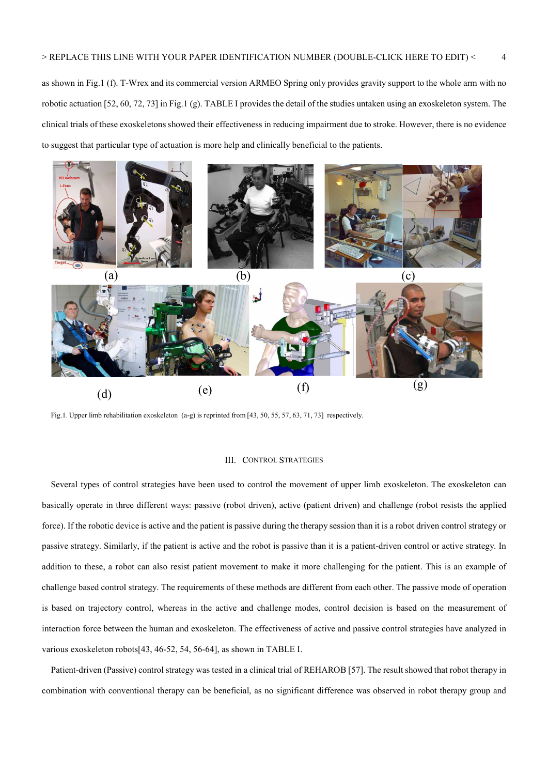as shown in Fig.1 (f). T-Wrex and its commercial version ARMEO Spring only provides gravity support to the whole arm with no robotic actuation [52, 60, 72, 73] in Fig.1 (g). TABLE I provides the detail of the studies untaken using an exoskeleton system. The clinical trials of these exoskeletons showed their effectiveness in reducing impairment due to stroke. However, there is no evidence to suggest that particular type of actuation is more help and clinically beneficial to the patients.



Fig.1. Upper limb rehabilitation exoskeleton (a-g) is reprinted from [43, 50, 55, 57, 63, 71, 73] respectively.

#### III. CONTROL STRATEGIES

Several types of control strategies have been used to control the movement of upper limb exoskeleton. The exoskeleton can basically operate in three different ways: passive (robot driven), active (patient driven) and challenge (robot resists the applied force). If the robotic device is active and the patient is passive during the therapy session than it is a robot driven control strategy or passive strategy. Similarly, if the patient is active and the robot is passive than it is a patient-driven control or active strategy. In addition to these, a robot can also resist patient movement to make it more challenging for the patient. This is an example of challenge based control strategy. The requirements of these methods are different from each other. The passive mode of operation is based on trajectory control, whereas in the active and challenge modes, control decision is based on the measurement of interaction force between the human and exoskeleton. The effectiveness of active and passive control strategies have analyzed in various exoskeleton robots[43, 46-52, 54, 56-64], as shown in TABLE I.

Patient-driven (Passive) control strategy was tested in a clinical trial of REHAROB [57]. The result showed that robot therapy in combination with conventional therapy can be beneficial, as no significant difference was observed in robot therapy group and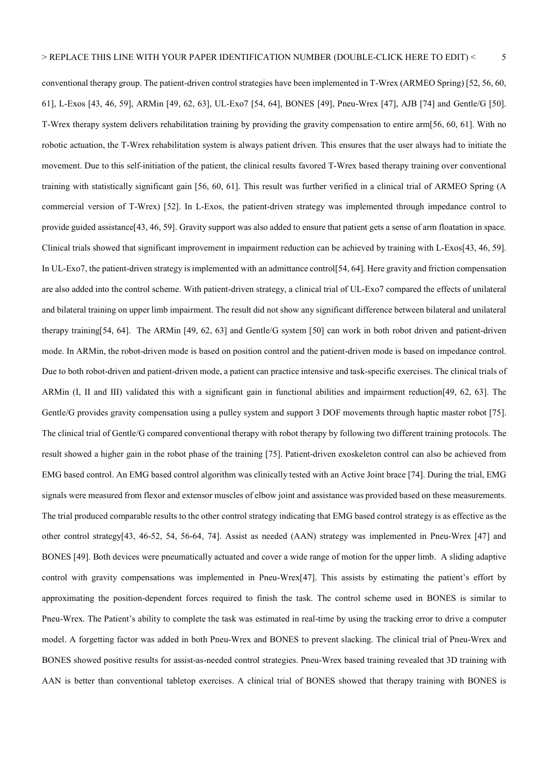conventional therapy group. The patient-driven control strategies have been implemented in T-Wrex (ARMEO Spring) [52, 56, 60, 61], L-Exos [43, 46, 59], ARMin [49, 62, 63], UL-Exo7 [54, 64], BONES [49], Pneu-Wrex [47], AJB [74] and Gentle/G [50]. T-Wrex therapy system delivers rehabilitation training by providing the gravity compensation to entire arm[56, 60, 61]. With no robotic actuation, the T-Wrex rehabilitation system is always patient driven. This ensures that the user always had to initiate the movement. Due to this self-initiation of the patient, the clinical results favored T-Wrex based therapy training over conventional training with statistically significant gain [56, 60, 61]. This result was further verified in a clinical trial of ARMEO Spring (A commercial version of T-Wrex) [52]. In L-Exos, the patient-driven strategy was implemented through impedance control to provide guided assistance[43, 46, 59]. Gravity support was also added to ensure that patient gets a sense of arm floatation in space. Clinical trials showed that significant improvement in impairment reduction can be achieved by training with L-Exos[43, 46, 59]. In UL-Exo7, the patient-driven strategy is implemented with an admittance control[54, 64]. Here gravity and friction compensation are also added into the control scheme. With patient-driven strategy, a clinical trial of UL-Exo7 compared the effects of unilateral and bilateral training on upper limb impairment. The result did not show any significant difference between bilateral and unilateral therapy training[54, 64]. The ARMin [49, 62, 63] and Gentle/G system [50] can work in both robot driven and patient-driven mode. In ARMin, the robot-driven mode is based on position control and the patient-driven mode is based on impedance control. Due to both robot-driven and patient-driven mode, a patient can practice intensive and task-specific exercises. The clinical trials of ARMin (I, II and III) validated this with a significant gain in functional abilities and impairment reduction[49, 62, 63]. The Gentle/G provides gravity compensation using a pulley system and support 3 DOF movements through haptic master robot [75]. The clinical trial of Gentle/G compared conventional therapy with robot therapy by following two different training protocols. The result showed a higher gain in the robot phase of the training [75]. Patient-driven exoskeleton control can also be achieved from EMG based control. An EMG based control algorithm was clinically tested with an Active Joint brace [74]. During the trial, EMG signals were measured from flexor and extensor muscles of elbow joint and assistance was provided based on these measurements. The trial produced comparable results to the other control strategy indicating that EMG based control strategy is as effective as the other control strategy[43, 46-52, 54, 56-64, 74]. Assist as needed (AAN) strategy was implemented in Pneu-Wrex [47] and BONES [49]. Both devices were pneumatically actuated and cover a wide range of motion for the upper limb. A sliding adaptive control with gravity compensations was implemented in Pneu-Wrex[47]. This assists by estimating the patient's effort by approximating the position-dependent forces required to finish the task. The control scheme used in BONES is similar to Pneu-Wrex. The Patient's ability to complete the task was estimated in real-time by using the tracking error to drive a computer model. A forgetting factor was added in both Pneu-Wrex and BONES to prevent slacking. The clinical trial of Pneu-Wrex and BONES showed positive results for assist-as-needed control strategies. Pneu-Wrex based training revealed that 3D training with AAN is better than conventional tabletop exercises. A clinical trial of BONES showed that therapy training with BONES is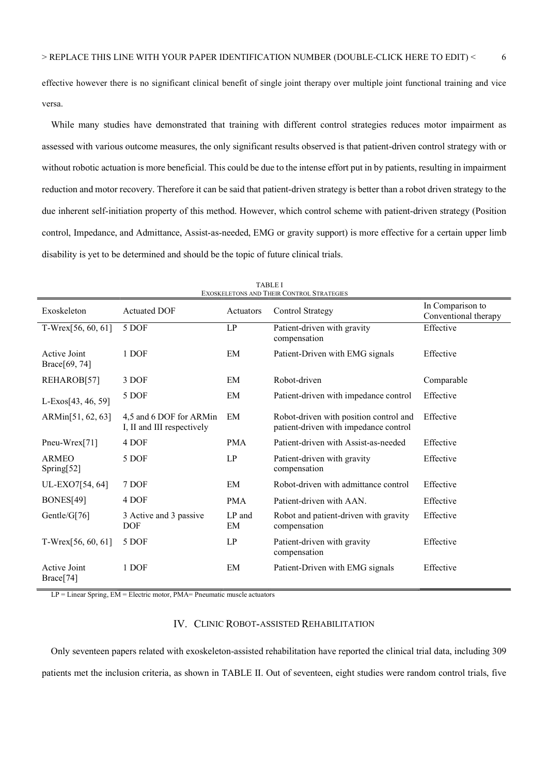effective however there is no significant clinical benefit of single joint therapy over multiple joint functional training and vice versa.

While many studies have demonstrated that training with different control strategies reduces motor impairment as assessed with various outcome measures, the only significant results observed is that patient-driven control strategy with or without robotic actuation is more beneficial. This could be due to the intense effort put in by patients, resulting in impairment reduction and motor recovery. Therefore it can be said that patient-driven strategy is better than a robot driven strategy to the due inherent self-initiation property of this method. However, which control scheme with patient-driven strategy (Position control, Impedance, and Admittance, Assist-as-needed, EMG or gravity support) is more effective for a certain upper limb disability is yet to be determined and should be the topic of future clinical trials.

| EXOSKELETONS AND THEIR CONTROL STRATEGIES |                                                       |              |                                                                                 |                                          |  |
|-------------------------------------------|-------------------------------------------------------|--------------|---------------------------------------------------------------------------------|------------------------------------------|--|
| Exoskeleton                               | <b>Actuated DOF</b>                                   | Actuators    | <b>Control Strategy</b>                                                         | In Comparison to<br>Conventional therapy |  |
| T-Wrex[56, 60, 61]                        | 5 DOF                                                 | LP           | Patient-driven with gravity<br>compensation                                     | Effective                                |  |
| Active Joint<br>Brace[69, 74]             | 1 DOF                                                 | EM           | Patient-Driven with EMG signals                                                 | Effective                                |  |
| REHAROB[57]                               | 3 DOF                                                 | EM           | Robot-driven                                                                    | Comparable                               |  |
| L-Exos[43, 46, 59]                        | 5 DOF                                                 | EM           | Patient-driven with impedance control                                           | Effective                                |  |
| ARMin[51, 62, 63]                         | 4,5 and 6 DOF for ARMin<br>I, II and III respectively | EM           | Robot-driven with position control and<br>patient-driven with impedance control | Effective                                |  |
| Pneu-Wrex[71]                             | 4 DOF                                                 | <b>PMA</b>   | Patient-driven with Assist-as-needed                                            | Effective                                |  |
| <b>ARMEO</b><br>Spring[52]                | 5 DOF                                                 | LP           | Patient-driven with gravity<br>compensation                                     | Effective                                |  |
| UL-EXO7[54, 64]                           | 7 DOF                                                 | EM           | Robot-driven with admittance control                                            | Effective                                |  |
| BONES[49]                                 | 4 DOF                                                 | <b>PMA</b>   | Patient-driven with AAN.                                                        | Effective                                |  |
| Gentle/G[76]                              | 3 Active and 3 passive<br><b>DOF</b>                  | LP and<br>EM | Robot and patient-driven with gravity<br>compensation                           | Effective                                |  |
| $T-Wrex[56, 60, 61]$                      | 5 DOF                                                 | LP           | Patient-driven with gravity<br>compensation                                     | Effective                                |  |
| <b>Active Joint</b><br>Brace[74]          | 1 DOF                                                 | EM           | Patient-Driven with EMG signals                                                 | Effective                                |  |

TABLE I

 $LP = Linear Spring, EM = Electric motor, PMA = Pneumatic muscle actuators$ 

### IV. CLINIC ROBOT-ASSISTED REHABILITATION

Only seventeen papers related with exoskeleton-assisted rehabilitation have reported the clinical trial data, including 309 patients met the inclusion criteria, as shown in TABLE II. Out of seventeen, eight studies were random control trials, five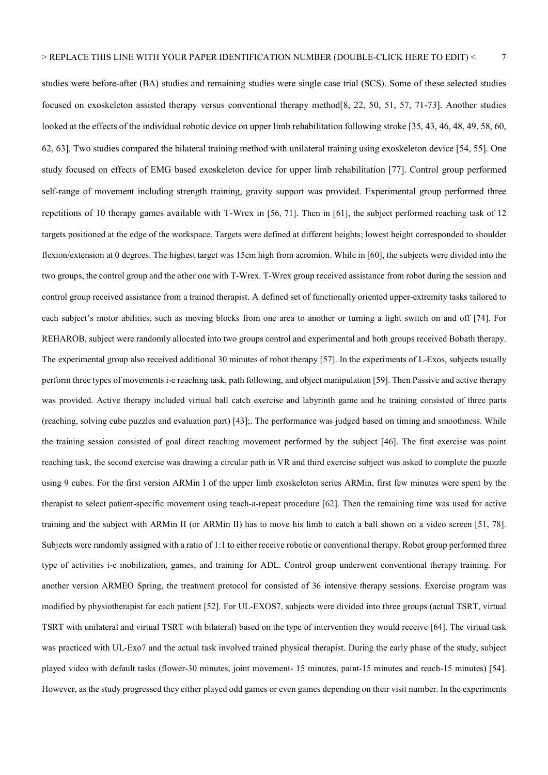studies were before-after (BA) studies and remaining studies were single case trial (SCS). Some of these selected studies focused on exoskeleton assisted therapy versus conventional therapy method[8, 22, 50, 51, 57, 71-73]. Another studies looked at the effects of the individual robotic device on upper limb rehabilitation following stroke [35, 43, 46, 48, 49, 58, 60, 62, 63]. Two studies compared the bilateral training method with unilateral training using exoskeleton device [54, 55]. One study focused on effects of EMG based exoskeleton device for upper limb rehabilitation [77]. Control group performed self-range of movement including strength training, gravity support was provided. Experimental group performed three repetitions of 10 therapy games available with T-Wrex in [56, 71]. Then in [61], the subject performed reaching task of 12 targets positioned at the edge of the workspace. Targets were defined at different heights; lowest height corresponded to shoulder flexion/extension at 0 degrees. The highest target was 15cm high from acromion. While in [60], the subjects were divided into the two groups, the control group and the other one with T-Wrex. T-Wrex group received assistance from robot during the session and control group received assistance from a trained therapist. A defined set of functionally oriented upper-extremity tasks tailored to each subject's motor abilities, such as moving blocks from one area to another or turning a light switch on and off [74]. For REHAROB, subject were randomly allocated into two groups control and experimental and both groups received Bobath therapy. The experimental group also received additional 30 minutes of robot therapy [57]. In the experiments of L-Exos, subjects usually perform three types of movements i-e reaching task, path following, and object manipulation [59]. Then Passive and active therapy was provided. Active therapy included virtual ball catch exercise and labyrinth game and he training consisted of three parts (reaching, solving cube puzzles and evaluation part) [43];. The performance was judged based on timing and smoothness. While the training session consisted of goal direct reaching movement performed by the subject [46]. The first exercise was point reaching task, the second exercise was drawing a circular path in VR and third exercise subject was asked to complete the puzzle using 9 cubes. For the first version ARMin I of the upper limb exoskeleton series ARMin, first few minutes were spent by the therapist to select patient-specific movement using teach-a-repeat procedure [62]. Then the remaining time was used for active training and the subject with ARMin II (or ARMin II) has to move his limb to catch a ball shown on a video screen [51, 78]. Subjects were randomly assigned with a ratio of 1:1 to either receive robotic or conventional therapy. Robot group performed three type of activities i-e mobilization, games, and training for ADL. Control group underwent conventional therapy training. For another version ARMEO Spring, the treatment protocol for consisted of 36 intensive therapy sessions. Exercise program was modified by physiotherapist for each patient [52]. For UL-EXOS7, subjects were divided into three groups (actual TSRT, virtual TSRT with unilateral and virtual TSRT with bilateral) based on the type of intervention they would receive [64]. The virtual task was practiced with UL-Exo7 and the actual task involved trained physical therapist. During the early phase of the study, subject played video with default tasks (flower-30 minutes, joint movement- 15 minutes, paint-15 minutes and reach-15 minutes) [54].

However, as the study progressed they either played odd games or even games depending on their visit number. In the experiments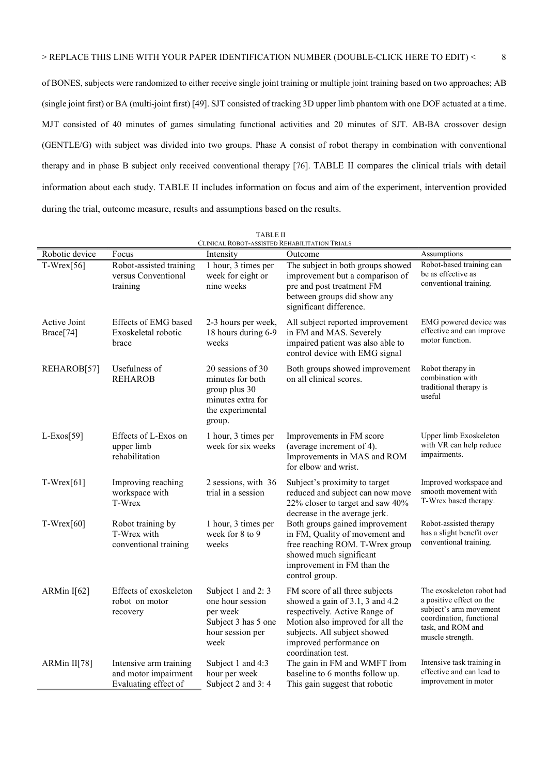of BONES, subjects were randomized to either receive single joint training or multiple joint training based on two approaches; AB (single joint first) or BA (multi-joint first) [49]. SJT consisted of tracking 3D upper limb phantom with one DOF actuated at a time. MJT consisted of 40 minutes of games simulating functional activities and 20 minutes of SJT. AB-BA crossover design (GENTLE/G) with subject was divided into two groups. Phase A consist of robot therapy in combination with conventional therapy and in phase B subject only received conventional therapy [76]. TABLE II compares the clinical trials with detail information about each study. TABLE II includes information on focus and aim of the experiment, intervention provided during the trial, outcome measure, results and assumptions based on the results.

| <b>TABLE II</b><br>CLINICAL ROBOT-ASSISTED REHABILITATION TRIALS |                                                                        |                                                                                                           |                                                                                                                                                                                                                         |                                                                                                                                                      |  |
|------------------------------------------------------------------|------------------------------------------------------------------------|-----------------------------------------------------------------------------------------------------------|-------------------------------------------------------------------------------------------------------------------------------------------------------------------------------------------------------------------------|------------------------------------------------------------------------------------------------------------------------------------------------------|--|
| Robotic device                                                   | Focus                                                                  | Intensity                                                                                                 | Outcome                                                                                                                                                                                                                 | Assumptions                                                                                                                                          |  |
| $T-Wrex[56]$                                                     | Robot-assisted training<br>versus Conventional<br>training             | 1 hour, 3 times per<br>week for eight or<br>nine weeks                                                    | The subject in both groups showed<br>improvement but a comparison of<br>pre and post treatment FM<br>between groups did show any<br>significant difference.                                                             | Robot-based training can<br>be as effective as<br>conventional training.                                                                             |  |
| Active Joint<br>Brace[74]                                        | Effects of EMG based<br>Exoskeletal robotic<br>brace                   | 2-3 hours per week,<br>18 hours during 6-9<br>weeks                                                       | All subject reported improvement<br>in FM and MAS. Severely<br>impaired patient was also able to<br>control device with EMG signal                                                                                      | EMG powered device was<br>effective and can improve<br>motor function.                                                                               |  |
| REHAROB[57]                                                      | Usefulness of<br><b>REHAROB</b>                                        | 20 sessions of 30<br>minutes for both<br>group plus 30<br>minutes extra for<br>the experimental<br>group. | Both groups showed improvement<br>on all clinical scores.                                                                                                                                                               | Robot therapy in<br>combination with<br>traditional therapy is<br>useful                                                                             |  |
| $L$ -Exos[59]                                                    | Effects of L-Exos on<br>upper limb<br>rehabilitation                   | 1 hour, 3 times per<br>week for six weeks                                                                 | Improvements in FM score<br>(average increment of 4).<br>Improvements in MAS and ROM<br>for elbow and wrist.                                                                                                            | Upper limb Exoskeleton<br>with VR can help reduce<br>impairments.                                                                                    |  |
| $T-Wrex[61]$                                                     | Improving reaching<br>workspace with<br>T-Wrex                         | 2 sessions, with 36<br>trial in a session                                                                 | Subject's proximity to target<br>reduced and subject can now move<br>22% closer to target and saw 40%<br>decrease in the average jerk.                                                                                  | Improved workspace and<br>smooth movement with<br>T-Wrex based therapy.                                                                              |  |
| $T-Wrex[60]$                                                     | Robot training by<br>T-Wrex with<br>conventional training              | 1 hour, 3 times per<br>week for 8 to 9<br>weeks                                                           | Both groups gained improvement<br>in FM, Quality of movement and<br>free reaching ROM. T-Wrex group<br>showed much significant<br>improvement in FM than the<br>control group.                                          | Robot-assisted therapy<br>has a slight benefit over<br>conventional training.                                                                        |  |
| ARMin I[62]                                                      | Effects of exoskeleton<br>robot on motor<br>recovery                   | Subject 1 and 2:3<br>one hour session<br>per week<br>Subject 3 has 5 one<br>hour session per<br>week      | FM score of all three subjects<br>showed a gain of 3.1, 3 and 4.2<br>respectively. Active Range of<br>Motion also improved for all the<br>subjects. All subject showed<br>improved performance on<br>coordination test. | The exoskeleton robot had<br>a positive effect on the<br>subject's arm movement<br>coordination, functional<br>task, and ROM and<br>muscle strength. |  |
| ARMin II[78]                                                     | Intensive arm training<br>and motor impairment<br>Evaluating effect of | Subject 1 and 4:3<br>hour per week<br>Subject 2 and 3:4                                                   | The gain in FM and WMFT from<br>baseline to 6 months follow up.<br>This gain suggest that robotic                                                                                                                       | Intensive task training in<br>effective and can lead to<br>improvement in motor                                                                      |  |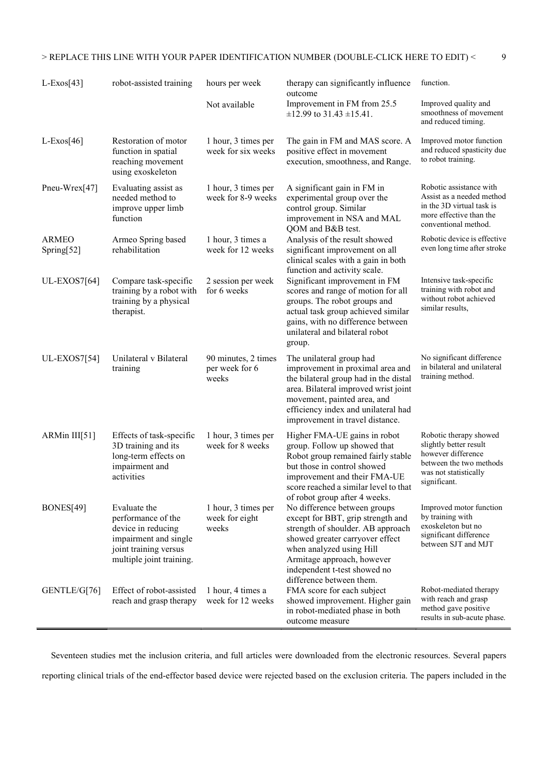| $L$ -Exos[43]              | robot-assisted training                                                                                                                | hours per week                                 | therapy can significantly influence<br>outcome                                                                                                                                                                                                                                                   | function.                                                                                                                                  |
|----------------------------|----------------------------------------------------------------------------------------------------------------------------------------|------------------------------------------------|--------------------------------------------------------------------------------------------------------------------------------------------------------------------------------------------------------------------------------------------------------------------------------------------------|--------------------------------------------------------------------------------------------------------------------------------------------|
|                            |                                                                                                                                        | Not available                                  | Improvement in FM from 25.5<br>$\pm$ 12.99 to 31.43 $\pm$ 15.41.                                                                                                                                                                                                                                 | Improved quality and<br>smoothness of movement<br>and reduced timing.                                                                      |
| $L$ -Exos[46]              | Restoration of motor<br>function in spatial<br>reaching movement<br>using exoskeleton                                                  | 1 hour, 3 times per<br>week for six weeks      | The gain in FM and MAS score. A<br>positive effect in movement<br>execution, smoothness, and Range.                                                                                                                                                                                              | Improved motor function<br>and reduced spasticity due<br>to robot training.                                                                |
| Pneu-Wrex[47]              | Evaluating assist as<br>needed method to<br>improve upper limb<br>function                                                             | 1 hour, 3 times per<br>week for 8-9 weeks      | A significant gain in FM in<br>experimental group over the<br>control group. Similar<br>improvement in NSA and MAL<br>QOM and B&B test.                                                                                                                                                          | Robotic assistance with<br>Assist as a needed method<br>in the 3D virtual task is<br>more effective than the<br>conventional method.       |
| <b>ARMEO</b><br>Spring[52] | Armeo Spring based<br>rehabilitation                                                                                                   | 1 hour, 3 times a<br>week for 12 weeks         | Analysis of the result showed<br>significant improvement on all<br>clinical scales with a gain in both                                                                                                                                                                                           | Robotic device is effective<br>even long time after stroke                                                                                 |
| <b>UL-EXOS7[64]</b>        | Compare task-specific<br>training by a robot with<br>training by a physical<br>therapist.                                              | 2 session per week<br>for 6 weeks              | function and activity scale.<br>Significant improvement in FM<br>scores and range of motion for all<br>groups. The robot groups and<br>actual task group achieved similar<br>gains, with no difference between<br>unilateral and bilateral robot<br>group.                                       | Intensive task-specific<br>training with robot and<br>without robot achieved<br>similar results,                                           |
| <b>UL-EXOS7[54]</b>        | Unilateral v Bilateral<br>training                                                                                                     | 90 minutes, 2 times<br>per week for 6<br>weeks | The unilateral group had<br>improvement in proximal area and<br>the bilateral group had in the distal<br>area. Bilateral improved wrist joint<br>movement, painted area, and<br>efficiency index and unilateral had<br>improvement in travel distance.                                           | No significant difference<br>in bilateral and unilateral<br>training method.                                                               |
| ARMin III[51]              | Effects of task-specific<br>3D training and its<br>long-term effects on<br>impairment and<br>activities                                | 1 hour, 3 times per<br>week for 8 weeks        | Higher FMA-UE gains in robot<br>group. Follow up showed that<br>Robot group remained fairly stable<br>but those in control showed<br>improvement and their FMA-UE<br>score reached a similar level to that                                                                                       | Robotic therapy showed<br>slightly better result<br>however difference<br>between the two methods<br>was not statistically<br>significant. |
| BONES[49]                  | Evaluate the<br>performance of the<br>device in reducing<br>impairment and single<br>joint training versus<br>multiple joint training. | 1 hour, 3 times per<br>week for eight<br>weeks | of robot group after 4 weeks.<br>No difference between groups<br>except for BBT, grip strength and<br>strength of shoulder. AB approach<br>showed greater carryover effect<br>when analyzed using Hill<br>Armitage approach, however<br>independent t-test showed no<br>difference between them. | Improved motor function<br>by training with<br>exoskeleton but no<br>significant difference<br>between SJT and MJT                         |
| GENTLE/G[76]               | Effect of robot-assisted<br>reach and grasp therapy                                                                                    | 1 hour, 4 times a<br>week for 12 weeks         | FMA score for each subject<br>showed improvement. Higher gain<br>in robot-mediated phase in both<br>outcome measure                                                                                                                                                                              | Robot-mediated therapy<br>with reach and grasp<br>method gave positive<br>results in sub-acute phase.                                      |

Seventeen studies met the inclusion criteria, and full articles were downloaded from the electronic resources. Several papers reporting clinical trials of the end-effector based device were rejected based on the exclusion criteria. The papers included in the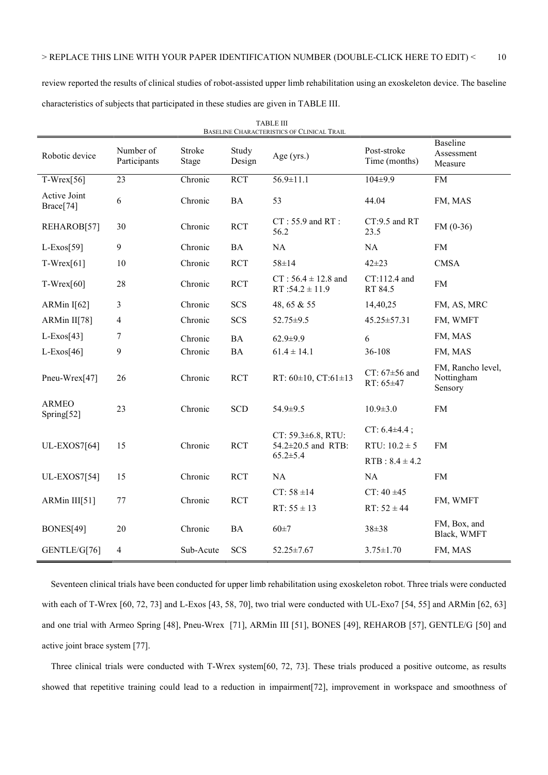review reported the results of clinical studies of robot-assisted upper limb rehabilitation using an exoskeleton device. The baseline characteristics of subjects that participated in these studies are given in TABLE III.

| <b>TABLE III</b><br>BASELINE CHARACTERISTICS OF CLINICAL TRAIL |                           |                 |                 |                                               |                                |                                            |
|----------------------------------------------------------------|---------------------------|-----------------|-----------------|-----------------------------------------------|--------------------------------|--------------------------------------------|
| Robotic device                                                 | Number of<br>Participants | Stroke<br>Stage | Study<br>Design | Age (yrs.)                                    | Post-stroke<br>Time (months)   | Baseline<br>Assessment<br>Measure          |
| $T-Wrex[56]$                                                   | 23                        | Chronic         | <b>RCT</b>      | $56.9 \pm 11.1$                               | $104 \pm 9.9$                  | ${\rm FM}$                                 |
| Active Joint<br>Brace[74]                                      | 6                         | Chronic         | <b>BA</b>       | 53                                            | 44.04                          | FM, MAS                                    |
| REHAROB[57]                                                    | 30                        | Chronic         | <b>RCT</b>      | $CT: 55.9$ and $RT:$<br>56.2                  | $CT:9.5$ and RT<br>23.5        | $FM(0-36)$                                 |
| $L$ -Exos[59]                                                  | 9                         | Chronic         | <b>BA</b>       | NA                                            | NA                             | FM                                         |
| $T-Wrex[61]$                                                   | 10                        | Chronic         | <b>RCT</b>      | 58±14                                         | $42 + 23$                      | <b>CMSA</b>                                |
| $T-Wrex[60]$                                                   | 28                        | Chronic         | <b>RCT</b>      | $CT: 56.4 \pm 12.8$ and<br>$RT:54.2 \pm 11.9$ | $CT:112.4$ and<br>RT 84.5      | FM                                         |
| ARMin $I[62]$                                                  | 3                         | Chronic         | <b>SCS</b>      | 48, 65 & 55                                   | 14,40,25                       | FM, AS, MRC                                |
| ARMin II[78]                                                   | 4                         | Chronic         | <b>SCS</b>      | 52.75±9.5                                     | 45.25±57.31                    | FM, WMFT                                   |
| $L$ -Exos[43]                                                  | 7                         | Chronic         | <b>BA</b>       | $62.9 \pm 9.9$                                | 6                              | FM, MAS                                    |
| $L$ -Exos[46]                                                  | 9                         | Chronic         | <b>BA</b>       | $61.4 \pm 14.1$                               | 36-108                         | FM, MAS                                    |
| Pneu-Wrex[47]                                                  | 26                        | Chronic         | <b>RCT</b>      | RT: $60\pm10$ , CT: $61\pm13$                 | CT: $67\pm56$ and<br>RT: 65±47 | FM, Rancho level,<br>Nottingham<br>Sensory |
| <b>ARMEO</b><br>Spring $[52]$                                  | 23                        | Chronic         | <b>SCD</b>      | 54.9±9.5                                      | $10.9 \pm 3.0$                 | ${\rm FM}$                                 |
|                                                                |                           |                 |                 | CT: 59.3±6.8, RTU:                            | CT: $6.4\pm4.4$ ;              |                                            |
| <b>UL-EXOS7[64]</b>                                            | 15                        | Chronic         | <b>RCT</b>      | 54.2±20.5 and RTB:<br>$65.2 \pm 5.4$          | RTU: $10.2 \pm 5$              | <b>FM</b>                                  |
|                                                                |                           |                 |                 |                                               | $RTB: 8.4 \pm 4.2$             |                                            |
| <b>UL-EXOS7[54]</b>                                            | 15                        | Chronic         | <b>RCT</b>      | NA                                            | NA                             | <b>FM</b>                                  |
| ARMin III[51]                                                  | 77                        | Chronic         | <b>RCT</b>      | $CT: 58 \pm 14$                               | $CT: 40 \pm 45$                | FM, WMFT                                   |
|                                                                |                           |                 |                 | $RT: 55 \pm 13$                               | $RT: 52 \pm 44$                |                                            |
| BONES[49]                                                      | 20                        | Chronic         | <b>BA</b>       | $60 + 7$                                      | 38±38                          | FM, Box, and<br>Black, WMFT                |
| GENTLE/G[76]                                                   | 4                         | Sub-Acute       | <b>SCS</b>      | $52.25 \pm 7.67$                              | $3.75 \pm 1.70$                | FM, MAS                                    |

Seventeen clinical trials have been conducted for upper limb rehabilitation using exoskeleton robot. Three trials were conducted with each of T-Wrex [60, 72, 73] and L-Exos [43, 58, 70], two trial were conducted with UL-Exo7 [54, 55] and ARMin [62, 63] and one trial with Armeo Spring [48], Pneu-Wrex [71], ARMin III [51], BONES [49], REHAROB [57], GENTLE/G [50] and active joint brace system [77].

Three clinical trials were conducted with T-Wrex system[60, 72, 73]. These trials produced a positive outcome, as results showed that repetitive training could lead to a reduction in impairment[72], improvement in workspace and smoothness of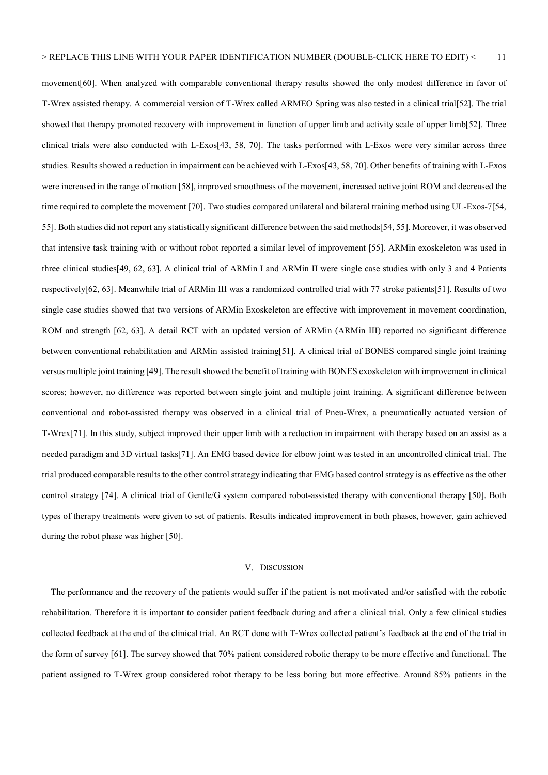movement[60]. When analyzed with comparable conventional therapy results showed the only modest difference in favor of T-Wrex assisted therapy. A commercial version of T-Wrex called ARMEO Spring was also tested in a clinical trial[52]. The trial showed that therapy promoted recovery with improvement in function of upper limb and activity scale of upper limb[52]. Three clinical trials were also conducted with L-Exos[43, 58, 70]. The tasks performed with L-Exos were very similar across three studies. Results showed a reduction in impairment can be achieved with L-Exos[43, 58, 70]. Other benefits of training with L-Exos were increased in the range of motion [58], improved smoothness of the movement, increased active joint ROM and decreased the time required to complete the movement [70]. Two studies compared unilateral and bilateral training method using UL-Exos-7[54, 55]. Both studies did not report any statistically significant difference between the said methods[54, 55]. Moreover, it was observed that intensive task training with or without robot reported a similar level of improvement [55]. ARMin exoskeleton was used in three clinical studies[49, 62, 63]. A clinical trial of ARMin I and ARMin II were single case studies with only 3 and 4 Patients respectively[62, 63]. Meanwhile trial of ARMin III was a randomized controlled trial with 77 stroke patients[51]. Results of two single case studies showed that two versions of ARMin Exoskeleton are effective with improvement in movement coordination, ROM and strength [62, 63]. A detail RCT with an updated version of ARMin (ARMin III) reported no significant difference between conventional rehabilitation and ARMin assisted training[51]. A clinical trial of BONES compared single joint training versus multiple joint training [49]. The result showed the benefit of training with BONES exoskeleton with improvement in clinical scores; however, no difference was reported between single joint and multiple joint training. A significant difference between conventional and robot-assisted therapy was observed in a clinical trial of Pneu-Wrex, a pneumatically actuated version of T-Wrex[71]. In this study, subject improved their upper limb with a reduction in impairment with therapy based on an assist as a needed paradigm and 3D virtual tasks[71]. An EMG based device for elbow joint was tested in an uncontrolled clinical trial. The trial produced comparable results to the other control strategy indicating that EMG based control strategy is as effective as the other control strategy [74]. A clinical trial of Gentle/G system compared robot-assisted therapy with conventional therapy [50]. Both types of therapy treatments were given to set of patients. Results indicated improvement in both phases, however, gain achieved during the robot phase was higher [50].

#### V. DISCUSSION

The performance and the recovery of the patients would suffer if the patient is not motivated and/or satisfied with the robotic rehabilitation. Therefore it is important to consider patient feedback during and after a clinical trial. Only a few clinical studies collected feedback at the end of the clinical trial. An RCT done with T-Wrex collected patient's feedback at the end of the trial in the form of survey [61]. The survey showed that 70% patient considered robotic therapy to be more effective and functional. The patient assigned to T-Wrex group considered robot therapy to be less boring but more effective. Around 85% patients in the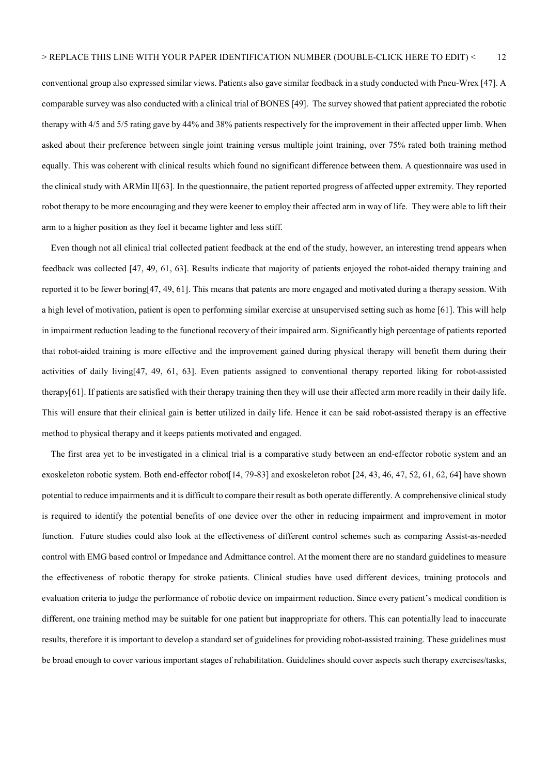conventional group also expressed similar views. Patients also gave similar feedback in a study conducted with Pneu-Wrex [47]. A comparable survey was also conducted with a clinical trial of BONES [49]. The survey showed that patient appreciated the robotic therapy with 4/5 and 5/5 rating gave by 44% and 38% patients respectively for the improvement in their affected upper limb. When asked about their preference between single joint training versus multiple joint training, over 75% rated both training method equally. This was coherent with clinical results which found no significant difference between them. A questionnaire was used in the clinical study with ARMin II[63]. In the questionnaire, the patient reported progress of affected upper extremity. They reported robot therapy to be more encouraging and they were keener to employ their affected arm in way of life. They were able to lift their arm to a higher position as they feel it became lighter and less stiff.

Even though not all clinical trial collected patient feedback at the end of the study, however, an interesting trend appears when feedback was collected [47, 49, 61, 63]. Results indicate that majority of patients enjoyed the robot-aided therapy training and reported it to be fewer boring[47, 49, 61]. This means that patents are more engaged and motivated during a therapy session. With a high level of motivation, patient is open to performing similar exercise at unsupervised setting such as home [61]. This will help in impairment reduction leading to the functional recovery of their impaired arm. Significantly high percentage of patients reported that robot-aided training is more effective and the improvement gained during physical therapy will benefit them during their activities of daily living[47, 49, 61, 63]. Even patients assigned to conventional therapy reported liking for robot-assisted therapy[61]. If patients are satisfied with their therapy training then they will use their affected arm more readily in their daily life. This will ensure that their clinical gain is better utilized in daily life. Hence it can be said robot-assisted therapy is an effective method to physical therapy and it keeps patients motivated and engaged.

The first area yet to be investigated in a clinical trial is a comparative study between an end-effector robotic system and an exoskeleton robotic system. Both end-effector robot[14, 79-83] and exoskeleton robot [24, 43, 46, 47, 52, 61, 62, 64] have shown potential to reduce impairments and it is difficult to compare their result as both operate differently. A comprehensive clinical study is required to identify the potential benefits of one device over the other in reducing impairment and improvement in motor function. Future studies could also look at the effectiveness of different control schemes such as comparing Assist-as-needed control with EMG based control or Impedance and Admittance control. At the moment there are no standard guidelines to measure the effectiveness of robotic therapy for stroke patients. Clinical studies have used different devices, training protocols and evaluation criteria to judge the performance of robotic device on impairment reduction. Since every patient's medical condition is different, one training method may be suitable for one patient but inappropriate for others. This can potentially lead to inaccurate results, therefore it is important to develop a standard set of guidelines for providing robot-assisted training. These guidelines must be broad enough to cover various important stages of rehabilitation. Guidelines should cover aspects such therapy exercises/tasks,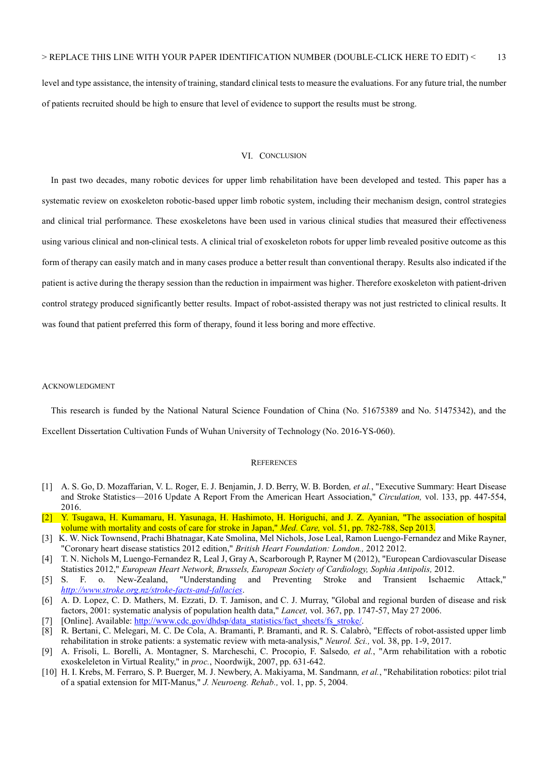level and type assistance, the intensity of training, standard clinical tests to measure the evaluations. For any future trial, the number of patients recruited should be high to ensure that level of evidence to support the results must be strong.

#### VI. CONCLUSION

In past two decades, many robotic devices for upper limb rehabilitation have been developed and tested. This paper has a systematic review on exoskeleton robotic-based upper limb robotic system, including their mechanism design, control strategies and clinical trial performance. These exoskeletons have been used in various clinical studies that measured their effectiveness using various clinical and non-clinical tests. A clinical trial of exoskeleton robots for upper limb revealed positive outcome as this form of therapy can easily match and in many cases produce a better result than conventional therapy. Results also indicated if the patient is active during the therapy session than the reduction in impairment was higher. Therefore exoskeleton with patient-driven control strategy produced significantly better results. Impact of robot-assisted therapy was not just restricted to clinical results. It was found that patient preferred this form of therapy, found it less boring and more effective.

#### ACKNOWLEDGMENT

This research is funded by the National Natural Science Foundation of China (No. 51675389 and No. 51475342), and the

Excellent Dissertation Cultivation Funds of Wuhan University of Technology (No. 2016-YS-060).

#### **REFERENCES**

- [1] A. S. Go, D. Mozaffarian, V. L. Roger, E. J. Benjamin, J. D. Berry, W. B. Borden, et al., "Executive Summary: Heart Disease and Stroke Statistics—2016 Update A Report From the American Heart Association," Circulation, vol. 133, pp. 447-554, 2016.
- [2] Y. Tsugawa, H. Kumamaru, H. Yasunaga, H. Hashimoto, H. Horiguchi, and J. Z. Ayanian, "The association of hospital volume with mortality and costs of care for stroke in Japan," Med. Care, vol. 51, pp. 782-788, Sep 2013.
- [3] K. W. Nick Townsend, Prachi Bhatnagar, Kate Smolina, Mel Nichols, Jose Leal, Ramon Luengo-Fernandez and Mike Rayner, "Coronary heart disease statistics 2012 edition," British Heart Foundation: London., 2012 2012.
- [4] T. N. Nichols M, Luengo-Fernandez R, Leal J, Gray A, Scarborough P, Rayner M (2012), "European Cardiovascular Disease Statistics 2012," European Heart Network, Brussels, European Society of Cardiology, Sophia Antipolis, 2012.
- [5] S. F. o. New-Zealand, "Understanding and Preventing Stroke and Transient Ischaemic Attack," http://www.stroke.org.nz/stroke-facts-and-fallacies.
- [6] A. D. Lopez, C. D. Mathers, M. Ezzati, D. T. Jamison, and C. J. Murray, "Global and regional burden of disease and risk factors, 2001: systematic analysis of population health data," Lancet, vol. 367, pp. 1747-57, May 27 2006.
- [Online]. Available: http://www.cdc.gov/dhdsp/data\_statistics/fact\_sheets/fs\_stroke/.
- [8] R. Bertani, C. Melegari, M. C. De Cola, A. Bramanti, P. Bramanti, and R. S. Calabrò, "Effects of robot-assisted upper limb rehabilitation in stroke patients: a systematic review with meta-analysis," Neurol. Sci., vol. 38, pp. 1-9, 2017.
- [9] A. Frisoli, L. Borelli, A. Montagner, S. Marcheschi, C. Procopio, F. Salsedo, et al., "Arm rehabilitation with a robotic exoskeleleton in Virtual Reality," in proc., Noordwijk, 2007, pp. 631-642.
- [10] H. I. Krebs, M. Ferraro, S. P. Buerger, M. J. Newbery, A. Makiyama, M. Sandmann, et al., "Rehabilitation robotics: pilot trial of a spatial extension for MIT-Manus," J. Neuroeng. Rehab., vol. 1, pp. 5, 2004.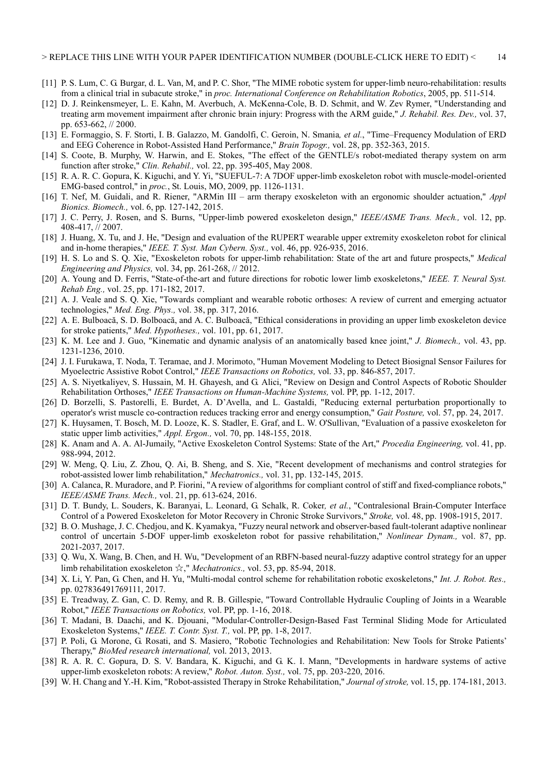- [11] P. S. Lum, C. G. Burgar, d. L. Van, M, and P. C. Shor, "The MIME robotic system for upper-limb neuro-rehabilitation: results from a clinical trial in subacute stroke," in proc. International Conference on Rehabilitation Robotics, 2005, pp. 511-514.
- [12] D. J. Reinkensmeyer, L. E. Kahn, M. Averbuch, A. McKenna-Cole, B. D. Schmit, and W. Zev Rymer, "Understanding and treating arm movement impairment after chronic brain injury: Progress with the ARM guide," J. Rehabil. Res. Dev., vol. 37, pp. 653-662, // 2000.
- [13] E. Formaggio, S. F. Storti, I. B. Galazzo, M. Gandolfi, C. Geroin, N. Smania, et al., "Time–Frequency Modulation of ERD and EEG Coherence in Robot-Assisted Hand Performance," Brain Topogr., vol. 28, pp. 352-363, 2015.
- [14] S. Coote, B. Murphy, W. Harwin, and E. Stokes, "The effect of the GENTLE/s robot-mediated therapy system on arm function after stroke," Clin. Rehabil., vol. 22, pp. 395-405, May 2008.
- [15] R. A. R. C. Gopura, K. Kiguchi, and Y. Yi, "SUEFUL-7: A 7DOF upper-limb exoskeleton robot with muscle-model-oriented EMG-based control," in proc., St. Louis, MO, 2009, pp. 1126-1131.
- [16] T. Nef, M. Guidali, and R. Riener, "ARMin III arm therapy exoskeleton with an ergonomic shoulder actuation," Appl Bionics. Biomech., vol. 6, pp. 127-142, 2015.
- [17] J. C. Perry, J. Rosen, and S. Burns, "Upper-limb powered exoskeleton design," IEEE/ASME Trans. Mech., vol. 12, pp. 408-417, // 2007.
- [18] J. Huang, X. Tu, and J. He, "Design and evaluation of the RUPERT wearable upper extremity exoskeleton robot for clinical and in-home therapies," IEEE. T. Syst. Man Cybern. Syst., vol. 46, pp. 926-935, 2016.
- [19] H. S. Lo and S. Q. Xie, "Exoskeleton robots for upper-limb rehabilitation: State of the art and future prospects," Medical Engineering and Physics, vol. 34, pp. 261-268, // 2012.
- [20] A. Young and D. Ferris, "State-of-the-art and future directions for robotic lower limb exoskeletons," IEEE. T. Neural Syst. Rehab Eng., vol. 25, pp. 171-182, 2017.
- [21] A. J. Veale and S. Q. Xie, "Towards compliant and wearable robotic orthoses: A review of current and emerging actuator technologies," Med. Eng. Phys., vol. 38, pp. 317, 2016.
- [22] A. E. Bulboacă, S. D. Bolboacă, and A. C. Bulboacă, "Ethical considerations in providing an upper limb exoskeleton device for stroke patients," Med. Hypotheses., vol. 101, pp. 61, 2017.
- [23] K. M. Lee and J. Guo, "Kinematic and dynamic analysis of an anatomically based knee joint," J. Biomech., vol. 43, pp. 1231-1236, 2010.
- [24] J. I. Furukawa, T. Noda, T. Teramae, and J. Morimoto, "Human Movement Modeling to Detect Biosignal Sensor Failures for Myoelectric Assistive Robot Control," IEEE Transactions on Robotics, vol. 33, pp. 846-857, 2017.
- [25] A. S. Niyetkaliyev, S. Hussain, M. H. Ghayesh, and G. Alici, "Review on Design and Control Aspects of Robotic Shoulder Rehabilitation Orthoses," IEEE Transactions on Human-Machine Systems, vol. PP, pp. 1-12, 2017.
- [26] D. Borzelli, S. Pastorelli, E. Burdet, A. D'Avella, and L. Gastaldi, "Reducing external perturbation proportionally to operator's wrist muscle co-contraction reduces tracking error and energy consumption," Gait Posture, vol. 57, pp. 24, 2017.
- [27] K. Huysamen, T. Bosch, M. D. Looze, K. S. Stadler, E. Graf, and L. W. O'Sullivan, "Evaluation of a passive exoskeleton for static upper limb activities," Appl. Ergon., vol. 70, pp. 148-155, 2018.
- [28] K. Anam and A. A. Al-Jumaily, "Active Exoskeleton Control Systems: State of the Art," *Procedia Engineering*, vol. 41, pp. 988-994, 2012.
- [29] W. Meng, Q. Liu, Z. Zhou, Q. Ai, B. Sheng, and S. Xie, "Recent development of mechanisms and control strategies for robot-assisted lower limb rehabilitation," Mechatronics., vol. 31, pp. 132-145, 2015.
- [30] A. Calanca, R. Muradore, and P. Fiorini, "A review of algorithms for compliant control of stiff and fixed-compliance robots," IEEE/ASME Trans. Mech., vol. 21, pp. 613-624, 2016.
- [31] D. T. Bundy, L. Souders, K. Baranyai, L. Leonard, G. Schalk, R. Coker, et al., "Contralesional Brain-Computer Interface Control of a Powered Exoskeleton for Motor Recovery in Chronic Stroke Survivors," Stroke, vol. 48, pp. 1908-1915, 2017.
- [32] B. O. Mushage, J. C. Chedjou, and K. Kyamakya, "Fuzzy neural network and observer-based fault-tolerant adaptive nonlinear control of uncertain 5-DOF upper-limb exoskeleton robot for passive rehabilitation," Nonlinear Dynam., vol. 87, pp. 2021-2037, 2017.
- [33] Q. Wu, X. Wang, B. Chen, and H. Wu, "Development of an RBFN-based neural-fuzzy adaptive control strategy for an upper limb rehabilitation exoskeleton  $\frac{1}{N}$ ," *Mechatronics.*, vol. 53, pp. 85-94, 2018.
- [34] X. Li, Y. Pan, G. Chen, and H. Yu, "Multi-modal control scheme for rehabilitation robotic exoskeletons," Int. J. Robot. Res., pp. 027836491769111, 2017.
- [35] E. Treadway, Z. Gan, C. D. Remy, and R. B. Gillespie, "Toward Controllable Hydraulic Coupling of Joints in a Wearable Robot," IEEE Transactions on Robotics, vol. PP, pp. 1-16, 2018.
- [36] T. Madani, B. Daachi, and K. Djouani, "Modular-Controller-Design-Based Fast Terminal Sliding Mode for Articulated Exoskeleton Systems," IEEE. T. Contr. Syst. T., vol. PP, pp. 1-8, 2017.
- [37] P. Poli, G. Morone, G. Rosati, and S. Masiero, "Robotic Technologies and Rehabilitation: New Tools for Stroke Patients' Therapy," BioMed research international, vol. 2013, 2013.
- [38] R. A. R. C. Gopura, D. S. V. Bandara, K. Kiguchi, and G. K. I. Mann, "Developments in hardware systems of active upper-limb exoskeleton robots: A review," Robot. Auton. Syst., vol. 75, pp. 203-220, 2016.
- [39] W. H. Chang and Y.-H. Kim, "Robot-assisted Therapy in Stroke Rehabilitation," Journal of stroke, vol. 15, pp. 174-181, 2013.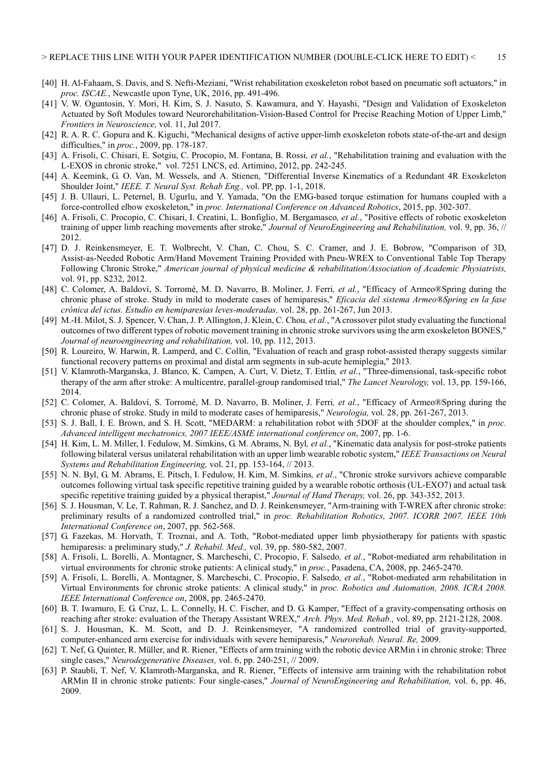- [40] H. Al-Fahaam, S. Davis, and S. Nefti-Meziani, "Wrist rehabilitation exoskeleton robot based on pneumatic soft actuators," in proc. ISCAE., Newcastle upon Tyne, UK, 2016, pp. 491-496.
- [41] V. W. Oguntosin, Y. Mori, H. Kim, S. J. Nasuto, S. Kawamura, and Y. Hayashi, "Design and Validation of Exoskeleton Actuated by Soft Modules toward Neurorehabilitation-Vision-Based Control for Precise Reaching Motion of Upper Limb," Frontiers in Neuroscience, vol. 11, Jul 2017.
- [42] R. A. R. C. Gopura and K. Kiguchi, "Mechanical designs of active upper-limb exoskeleton robots state-of-the-art and design difficulties," in proc., 2009, pp. 178-187.
- [43] A. Frisoli, C. Chisari, E. Sotgiu, C. Procopio, M. Fontana, B. Rossi, et al., "Rehabilitation training and evaluation with the L-EXOS in chronic stroke," vol. 7251 LNCS, ed. Artimino, 2012, pp. 242-245.
- [44] A. Keemink, G. O. Van, M. Wessels, and A. Stienen, "Differential Inverse Kinematics of a Redundant 4R Exoskeleton Shoulder Joint," IEEE. T. Neural Syst. Rehab Eng., vol. PP, pp. 1-1, 2018.
- [45] J. B. Ullauri, L. Peternel, B. Ugurlu, and Y. Yamada, "On the EMG-based torque estimation for humans coupled with a force-controlled elbow exoskeleton," in proc. International Conference on Advanced Robotics, 2015, pp. 302-307.
- [46] A. Frisoli, C. Procopio, C. Chisari, I. Creatini, L. Bonfiglio, M. Bergamasco, et al., "Positive effects of robotic exoskeleton training of upper limb reaching movements after stroke," Journal of NeuroEngineering and Rehabilitation, vol. 9, pp. 36, // 2012.
- [47] D. J. Reinkensmeyer, E. T. Wolbrecht, V. Chan, C. Chou, S. C. Cramer, and J. E. Bobrow, "Comparison of 3D, Assist-as-Needed Robotic Arm/Hand Movement Training Provided with Pneu-WREX to Conventional Table Top Therapy Following Chronic Stroke," American journal of physical medicine & rehabilitation/Association of Academic Physiatrists, vol. 91, pp. S232, 2012.
- [48] C. Colomer, A. Baldoví, S. Torromé, M. D. Navarro, B. Moliner, J. Ferri, et al., "Efficacy of Armeo®Spring during the chronic phase of stroke. Study in mild to moderate cases of hemiparesis," Eficacia del sistema Armeo®Spring en la fase crónica del ictus. Estudio en hemiparesias leves-moderadas, vol. 28, pp. 261-267, Jun 2013.
- [49] M.-H. Milot, S. J. Spencer, V. Chan, J. P. Allington, J. Klein, C. Chou, et al., "A crossover pilot study evaluating the functional outcomes of two different types of robotic movement training in chronic stroke survivors using the arm exoskeleton BONES," Journal of neuroengineering and rehabilitation, vol. 10, pp. 112, 2013.
- [50] R. Loureiro, W. Harwin, R. Lamperd, and C. Collin, "Evaluation of reach and grasp robot-assisted therapy suggests similar functional recovery patterns on proximal and distal arm segments in sub-acute hemiplegia," 2013.
- [51] V. Klamroth-Marganska, J. Blanco, K. Campen, A. Curt, V. Dietz, T. Ettlin, et al., "Three-dimensional, task-specific robot therapy of the arm after stroke: A multicentre, parallel-group randomised trial," The Lancet Neurology, vol. 13, pp. 159-166, 2014.
- [52] C. Colomer, A. Baldoví, S. Torromé, M. D. Navarro, B. Moliner, J. Ferri, et al., "Efficacy of Armeo®Spring during the chronic phase of stroke. Study in mild to moderate cases of hemiparesis," Neurologia, vol. 28, pp. 261-267, 2013.
- S. J. Ball, I. E. Brown, and S. H. Scott, "MEDARM: a rehabilitation robot with 5DOF at the shoulder complex," in proc. Advanced intelligent mechatronics, 2007 IEEE/ASME international conference on, 2007, pp. 1-6.
- [54] H. Kim, L. M. Miller, I. Fedulow, M. Simkins, G. M. Abrams, N. Byl, et al., "Kinematic data analysis for post-stroke patients following bilateral versus unilateral rehabilitation with an upper limb wearable robotic system," IEEE Transactions on Neural Systems and Rehabilitation Engineering, vol. 21, pp. 153-164, // 2013.
- [55] N. N. Byl, G. M. Abrams, E. Pitsch, I. Fedulow, H. Kim, M. Simkins, et al., "Chronic stroke survivors achieve comparable outcomes following virtual task specific repetitive training guided by a wearable robotic orthosis (UL-EXO7) and actual task specific repetitive training guided by a physical therapist," Journal of Hand Therapy, vol. 26, pp. 343-352, 2013.
- [56] S. J. Housman, V. Le, T. Rahman, R. J. Sanchez, and D. J. Reinkensmeyer, "Arm-training with T-WREX after chronic stroke: preliminary results of a randomized controlled trial," in proc. Rehabilitation Robotics, 2007. ICORR 2007. IEEE 10th International Conference on, 2007, pp. 562-568.
- [57] G. Fazekas, M. Horvath, T. Troznai, and A. Toth, "Robot-mediated upper limb physiotherapy for patients with spastic hemiparesis: a preliminary study," J. Rehabil. Med., vol. 39, pp. 580-582, 2007.
- [58] A. Frisoli, L. Borelli, A. Montagner, S. Marcheschi, C. Procopio, F. Salsedo, et al., "Robot-mediated arm rehabilitation in virtual environments for chronic stroke patients: A clinical study," in proc., Pasadena, CA, 2008, pp. 2465-2470.
- [59] A. Frisoli, L. Borelli, A. Montagner, S. Marcheschi, C. Procopio, F. Salsedo, et al., "Robot-mediated arm rehabilitation in Virtual Environments for chronic stroke patients: A clinical study," in proc. Robotics and Automation, 2008. ICRA 2008. IEEE International Conference on, 2008, pp. 2465-2470.
- [60] B. T. Iwamuro, E. G. Cruz, L. L. Connelly, H. C. Fischer, and D. G. Kamper, "Effect of a gravity-compensating orthosis on reaching after stroke: evaluation of the Therapy Assistant WREX," Arch. Phys. Med. Rehab., vol. 89, pp. 2121-2128, 2008.
- [61] S. J. Housman, K. M. Scott, and D. J. Reinkensmeyer, "A randomized controlled trial of gravity-supported, computer-enhanced arm exercise for individuals with severe hemiparesis," Neurorehab. Neural. Re, 2009.
- [62] T. Nef, G. Quinter, R. Müller, and R. Riener, "Effects of arm training with the robotic device ARMin i in chronic stroke: Three single cases," Neurodegenerative Diseases, vol. 6, pp. 240-251, // 2009.
- [63] P. Staubli, T. Nef, V. Klamroth-Marganska, and R. Riener, "Effects of intensive arm training with the rehabilitation robot ARMin II in chronic stroke patients: Four single-cases," Journal of NeuroEngineering and Rehabilitation, vol. 6, pp. 46, 2009.